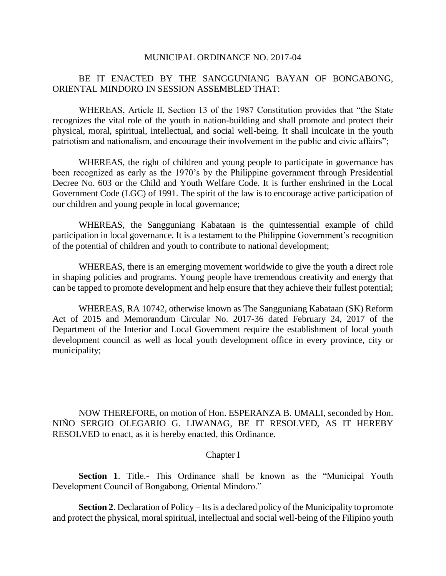#### MUNICIPAL ORDINANCE NO. 2017-04

#### BE IT ENACTED BY THE SANGGUNIANG BAYAN OF BONGABONG, ORIENTAL MINDORO IN SESSION ASSEMBLED THAT:

WHEREAS, Article II, Section 13 of the 1987 Constitution provides that "the State recognizes the vital role of the youth in nation-building and shall promote and protect their physical, moral, spiritual, intellectual, and social well-being. It shall inculcate in the youth patriotism and nationalism, and encourage their involvement in the public and civic affairs";

WHEREAS, the right of children and young people to participate in governance has been recognized as early as the 1970's by the Philippine government through Presidential Decree No. 603 or the Child and Youth Welfare Code. It is further enshrined in the Local Government Code (LGC) of 1991. The spirit of the law is to encourage active participation of our children and young people in local governance;

WHEREAS, the Sangguniang Kabataan is the quintessential example of child participation in local governance. It is a testament to the Philippine Government's recognition of the potential of children and youth to contribute to national development;

WHEREAS, there is an emerging movement worldwide to give the youth a direct role in shaping policies and programs. Young people have tremendous creativity and energy that can be tapped to promote development and help ensure that they achieve their fullest potential;

WHEREAS, RA 10742, otherwise known as The Sangguniang Kabataan (SK) Reform Act of 2015 and Memorandum Circular No. 2017-36 dated February 24, 2017 of the Department of the Interior and Local Government require the establishment of local youth development council as well as local youth development office in every province, city or municipality;

NOW THEREFORE, on motion of Hon. ESPERANZA B. UMALI, seconded by Hon. NIÑO SERGIO OLEGARIO G. LIWANAG, BE IT RESOLVED, AS IT HEREBY RESOLVED to enact, as it is hereby enacted, this Ordinance.

#### Chapter I

**Section 1.** Title.- This Ordinance shall be known as the "Municipal Youth Development Council of Bongabong, Oriental Mindoro."

**Section 2**. Declaration of Policy – Its is a declared policy of the Municipality to promote and protect the physical, moral spiritual, intellectual and social well-being of the Filipino youth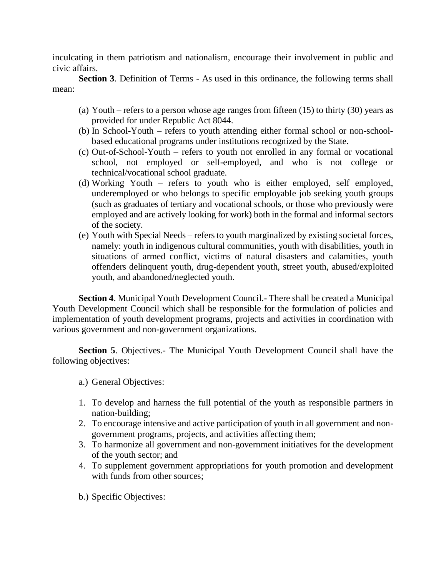inculcating in them patriotism and nationalism, encourage their involvement in public and civic affairs.

**Section 3**. Definition of Terms - As used in this ordinance, the following terms shall mean:

- (a) Youth refers to a person whose age ranges from fifteen  $(15)$  to thirty  $(30)$  years as provided for under Republic Act 8044.
- (b) In School-Youth refers to youth attending either formal school or non-schoolbased educational programs under institutions recognized by the State.
- (c) Out-of-School-Youth refers to youth not enrolled in any formal or vocational school, not employed or self-employed, and who is not college or technical/vocational school graduate.
- (d) Working Youth refers to youth who is either employed, self employed, underemployed or who belongs to specific employable job seeking youth groups (such as graduates of tertiary and vocational schools, or those who previously were employed and are actively looking for work) both in the formal and informal sectors of the society.
- (e) Youth with Special Needs refers to youth marginalized by existing societal forces, namely: youth in indigenous cultural communities, youth with disabilities, youth in situations of armed conflict, victims of natural disasters and calamities, youth offenders delinquent youth, drug-dependent youth, street youth, abused/exploited youth, and abandoned/neglected youth.

**Section 4**. Municipal Youth Development Council.- There shall be created a Municipal Youth Development Council which shall be responsible for the formulation of policies and implementation of youth development programs, projects and activities in coordination with various government and non-government organizations.

**Section 5**. Objectives.- The Municipal Youth Development Council shall have the following objectives:

- a.) General Objectives:
- 1. To develop and harness the full potential of the youth as responsible partners in nation-building;
- 2. To encourage intensive and active participation of youth in all government and nongovernment programs, projects, and activities affecting them;
- 3. To harmonize all government and non-government initiatives for the development of the youth sector; and
- 4. To supplement government appropriations for youth promotion and development with funds from other sources:
- b.) Specific Objectives: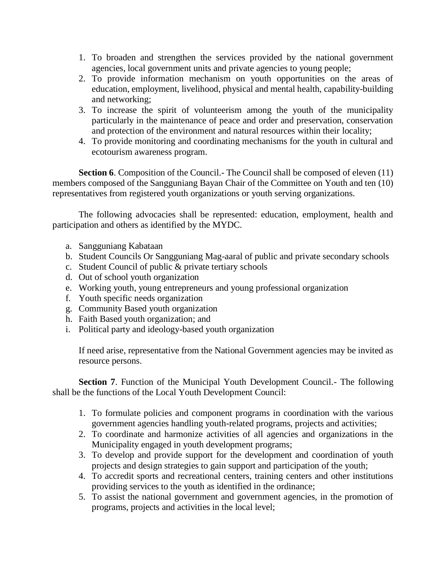- 1. To broaden and strengthen the services provided by the national government agencies, local government units and private agencies to young people;
- 2. To provide information mechanism on youth opportunities on the areas of education, employment, livelihood, physical and mental health, capability-building and networking;
- 3. To increase the spirit of volunteerism among the youth of the municipality particularly in the maintenance of peace and order and preservation, conservation and protection of the environment and natural resources within their locality;
- 4. To provide monitoring and coordinating mechanisms for the youth in cultural and ecotourism awareness program.

**Section 6.** Composition of the Council.- The Council shall be composed of eleven (11) members composed of the Sangguniang Bayan Chair of the Committee on Youth and ten (10) representatives from registered youth organizations or youth serving organizations.

The following advocacies shall be represented: education, employment, health and participation and others as identified by the MYDC.

- a. Sangguniang Kabataan
- b. Student Councils Or Sangguniang Mag-aaral of public and private secondary schools
- c. Student Council of public & private tertiary schools
- d. Out of school youth organization
- e. Working youth, young entrepreneurs and young professional organization
- f. Youth specific needs organization
- g. Community Based youth organization
- h. Faith Based youth organization; and
- i. Political party and ideology-based youth organization

If need arise, representative from the National Government agencies may be invited as resource persons.

**Section 7.** Function of the Municipal Youth Development Council.- The following shall be the functions of the Local Youth Development Council:

- 1. To formulate policies and component programs in coordination with the various government agencies handling youth-related programs, projects and activities;
- 2. To coordinate and harmonize activities of all agencies and organizations in the Municipality engaged in youth development programs;
- 3. To develop and provide support for the development and coordination of youth projects and design strategies to gain support and participation of the youth;
- 4. To accredit sports and recreational centers, training centers and other institutions providing services to the youth as identified in the ordinance;
- 5. To assist the national government and government agencies, in the promotion of programs, projects and activities in the local level;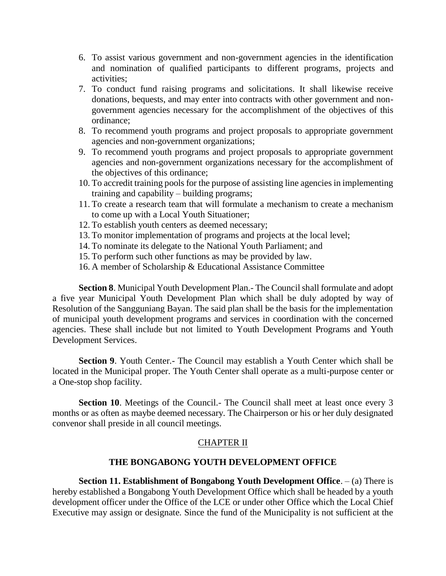- 6. To assist various government and non-government agencies in the identification and nomination of qualified participants to different programs, projects and activities;
- 7. To conduct fund raising programs and solicitations. It shall likewise receive donations, bequests, and may enter into contracts with other government and nongovernment agencies necessary for the accomplishment of the objectives of this ordinance;
- 8. To recommend youth programs and project proposals to appropriate government agencies and non-government organizations;
- 9. To recommend youth programs and project proposals to appropriate government agencies and non-government organizations necessary for the accomplishment of the objectives of this ordinance;
- 10. To accredit training pools for the purpose of assisting line agencies in implementing training and capability – building programs;
- 11. To create a research team that will formulate a mechanism to create a mechanism to come up with a Local Youth Situationer;
- 12. To establish youth centers as deemed necessary;
- 13. To monitor implementation of programs and projects at the local level;
- 14. To nominate its delegate to the National Youth Parliament; and
- 15. To perform such other functions as may be provided by law.
- 16. A member of Scholarship & Educational Assistance Committee

**Section 8**. Municipal Youth Development Plan.- The Council shall formulate and adopt a five year Municipal Youth Development Plan which shall be duly adopted by way of Resolution of the Sangguniang Bayan. The said plan shall be the basis for the implementation of municipal youth development programs and services in coordination with the concerned agencies. These shall include but not limited to Youth Development Programs and Youth Development Services.

**Section 9**. Youth Center.- The Council may establish a Youth Center which shall be located in the Municipal proper. The Youth Center shall operate as a multi-purpose center or a One-stop shop facility.

**Section 10**. Meetings of the Council.- The Council shall meet at least once every 3 months or as often as maybe deemed necessary. The Chairperson or his or her duly designated convenor shall preside in all council meetings.

## **CHAPTER II**

#### **THE BONGABONG YOUTH DEVELOPMENT OFFICE**

**Section 11. Establishment of Bongabong Youth Development Office**. – (a) There is hereby established a Bongabong Youth Development Office which shall be headed by a youth development officer under the Office of the LCE or under other Office which the Local Chief Executive may assign or designate. Since the fund of the Municipality is not sufficient at the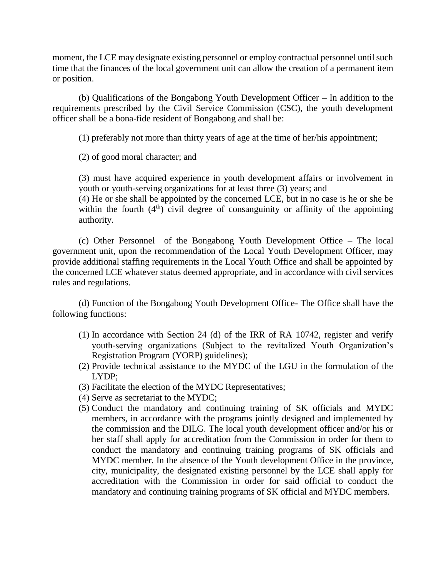moment, the LCE may designate existing personnel or employ contractual personnel until such time that the finances of the local government unit can allow the creation of a permanent item or position.

(b) Qualifications of the Bongabong Youth Development Officer – In addition to the requirements prescribed by the Civil Service Commission (CSC), the youth development officer shall be a bona-fide resident of Bongabong and shall be:

(1) preferably not more than thirty years of age at the time of her/his appointment;

(2) of good moral character; and

(3) must have acquired experience in youth development affairs or involvement in youth or youth-serving organizations for at least three (3) years; and

(4) He or she shall be appointed by the concerned LCE, but in no case is he or she be within the fourth  $(4<sup>th</sup>)$  civil degree of consanguinity or affinity of the appointing authority.

(c) Other Personnel of the Bongabong Youth Development Office – The local government unit, upon the recommendation of the Local Youth Development Officer, may provide additional staffing requirements in the Local Youth Office and shall be appointed by the concerned LCE whatever status deemed appropriate, and in accordance with civil services rules and regulations.

(d) Function of the Bongabong Youth Development Office- The Office shall have the following functions:

- (1) In accordance with Section 24 (d) of the IRR of RA 10742, register and verify youth-serving organizations (Subject to the revitalized Youth Organization's Registration Program (YORP) guidelines);
- (2) Provide technical assistance to the MYDC of the LGU in the formulation of the LYDP;
- (3) Facilitate the election of the MYDC Representatives;
- (4) Serve as secretariat to the MYDC;
- (5) Conduct the mandatory and continuing training of SK officials and MYDC members, in accordance with the programs jointly designed and implemented by the commission and the DILG. The local youth development officer and/or his or her staff shall apply for accreditation from the Commission in order for them to conduct the mandatory and continuing training programs of SK officials and MYDC member. In the absence of the Youth development Office in the province, city, municipality, the designated existing personnel by the LCE shall apply for accreditation with the Commission in order for said official to conduct the mandatory and continuing training programs of SK official and MYDC members.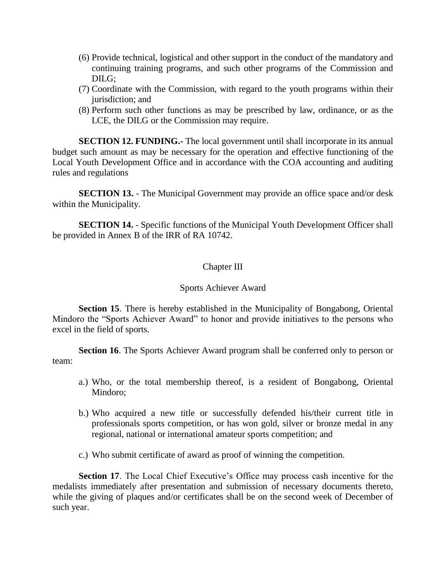- (6) Provide technical, logistical and other support in the conduct of the mandatory and continuing training programs, and such other programs of the Commission and DILG;
- (7) Coordinate with the Commission, with regard to the youth programs within their jurisdiction; and
- (8) Perform such other functions as may be prescribed by law, ordinance, or as the LCE, the DILG or the Commission may require.

**SECTION 12. FUNDING.** The local government until shall incorporate in its annual budget such amount as may be necessary for the operation and effective functioning of the Local Youth Development Office and in accordance with the COA accounting and auditing rules and regulations

**SECTION 13.** - The Municipal Government may provide an office space and/or desk within the Municipality.

**SECTION 14.** - Specific functions of the Municipal Youth Development Officer shall be provided in Annex B of the IRR of RA 10742.

## Chapter III

## Sports Achiever Award

**Section 15**. There is hereby established in the Municipality of Bongabong, Oriental Mindoro the "Sports Achiever Award" to honor and provide initiatives to the persons who excel in the field of sports.

**Section 16**. The Sports Achiever Award program shall be conferred only to person or team:

- a.) Who, or the total membership thereof, is a resident of Bongabong, Oriental Mindoro;
- b.) Who acquired a new title or successfully defended his/their current title in professionals sports competition, or has won gold, silver or bronze medal in any regional, national or international amateur sports competition; and
- c.) Who submit certificate of award as proof of winning the competition.

**Section 17**. The Local Chief Executive's Office may process cash incentive for the medalists immediately after presentation and submission of necessary documents thereto, while the giving of plaques and/or certificates shall be on the second week of December of such year.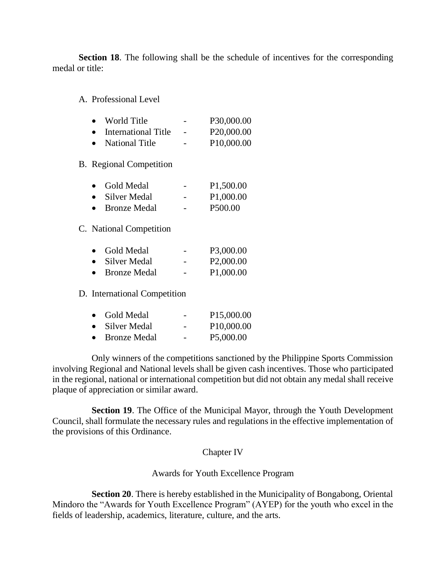**Section 18**. The following shall be the schedule of incentives for the corresponding medal or title:

A. Professional Level

|           | • World Title       | $\overline{\phantom{0}}$ | P30,000.00              |
|-----------|---------------------|--------------------------|-------------------------|
| $\bullet$ | International Title | -                        | P <sub>20</sub> ,000.00 |
| $\bullet$ | National Title      | $\overline{\phantom{0}}$ | P <sub>10</sub> ,000.00 |

B. Regional Competition

|           | • Gold Medal        | -                        | P <sub>1</sub> ,500.00 |
|-----------|---------------------|--------------------------|------------------------|
|           | • Silver Medal      | $\overline{\phantom{0}}$ | P <sub>1</sub> ,000.00 |
| $\bullet$ | <b>Bronze Medal</b> | -                        | P <sub>500.00</sub>    |

# C. National Competition

|           | • Gold Medal        | - | P3,000.00              |
|-----------|---------------------|---|------------------------|
|           | • Silver Medal      | - | P <sub>2</sub> ,000.00 |
| $\bullet$ | <b>Bronze</b> Medal |   | P <sub>1</sub> ,000.00 |

D. International Competition

|           | • Gold Medal        | $\overline{\phantom{0}}$ | P <sub>15</sub> ,000.00 |
|-----------|---------------------|--------------------------|-------------------------|
|           | • Silver Medal      | -                        | P <sub>10</sub> ,000.00 |
| $\bullet$ | <b>Bronze Medal</b> | -                        | P5,000.00               |

Only winners of the competitions sanctioned by the Philippine Sports Commission involving Regional and National levels shall be given cash incentives. Those who participated in the regional, national or international competition but did not obtain any medal shall receive plaque of appreciation or similar award.

**Section 19**. The Office of the Municipal Mayor, through the Youth Development Council, shall formulate the necessary rules and regulations in the effective implementation of the provisions of this Ordinance.

## Chapter IV

## Awards for Youth Excellence Program

**Section 20**. There is hereby established in the Municipality of Bongabong, Oriental Mindoro the "Awards for Youth Excellence Program" (AYEP) for the youth who excel in the fields of leadership, academics, literature, culture, and the arts.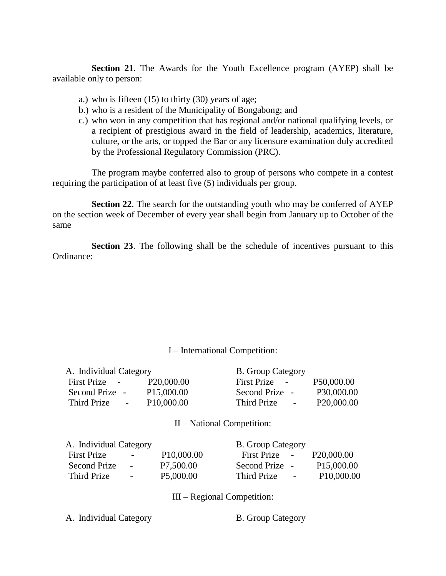**Section 21**. The Awards for the Youth Excellence program (AYEP) shall be available only to person:

- a.) who is fifteen (15) to thirty (30) years of age;
- b.) who is a resident of the Municipality of Bongabong; and
- c.) who won in any competition that has regional and/or national qualifying levels, or a recipient of prestigious award in the field of leadership, academics, literature, culture, or the arts, or topped the Bar or any licensure examination duly accredited by the Professional Regulatory Commission (PRC).

The program maybe conferred also to group of persons who compete in a contest requiring the participation of at least five (5) individuals per group.

**Section 22**. The search for the outstanding youth who may be conferred of AYEP on the section week of December of every year shall begin from January up to October of the same

**Section 23.** The following shall be the schedule of incentives pursuant to this Ordinance:

## I – International Competition:

| A. Individual Category |                         | <b>B.</b> Group Category             |                         |
|------------------------|-------------------------|--------------------------------------|-------------------------|
| First Prize -          | P <sub>20</sub> ,000.00 | <b>First Prize</b><br>$\overline{a}$ | P50,000.00              |
| Second Prize -         | P <sub>15</sub> ,000.00 | Second Prize -                       | P30,000.00              |
| Third Prize            | P <sub>10</sub> ,000.00 | Third Prize<br>$\sim$                | P <sub>20</sub> ,000.00 |

II – National Competition:

| A. Individual Category |                          |                         | <b>B.</b> Group Category |        |                         |
|------------------------|--------------------------|-------------------------|--------------------------|--------|-------------------------|
| <b>First Prize</b>     | $\sim$                   | P <sub>10</sub> ,000.00 | <b>First Prize</b>       |        | P <sub>20</sub> ,000.00 |
| Second Prize           | <b>Contract Contract</b> | P7,500.00               | Second Prize -           |        | P <sub>15</sub> ,000.00 |
| Third Prize            | $\sim$                   | P5,000.00               | Third Prize              | $\sim$ | P <sub>10</sub> ,000.00 |
|                        |                          |                         |                          |        |                         |

III – Regional Competition:

A. Individual Category B. Group Category